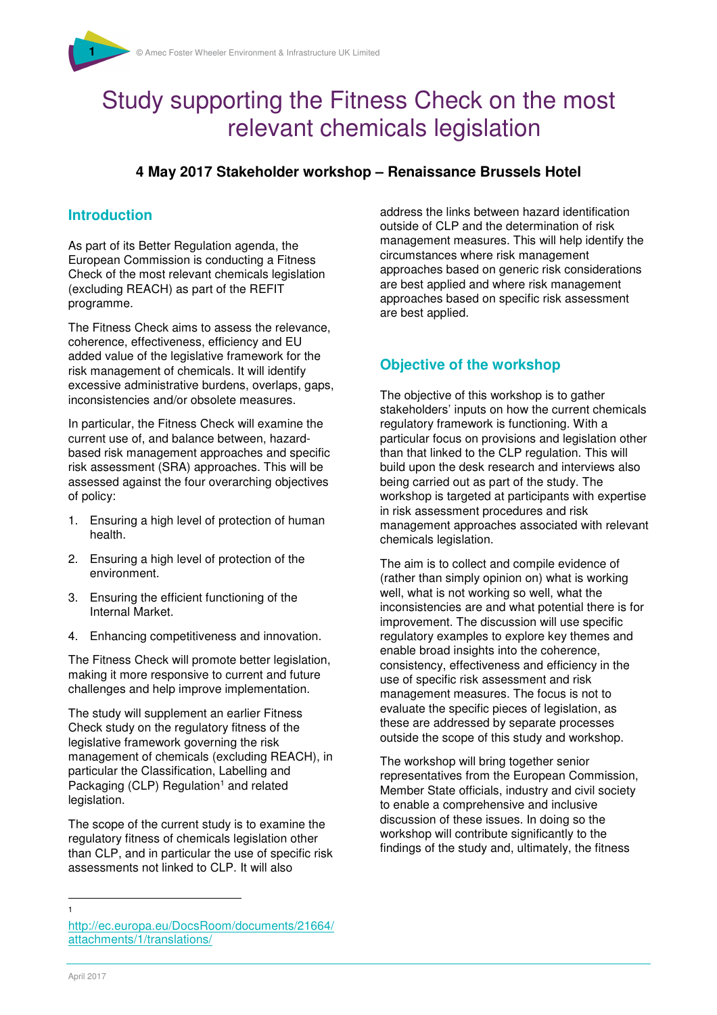# Study supporting the Fitness Check on the most relevant chemicals legislation

## **4 May 2017 Stakeholder workshop – Renaissance Brussels Hotel**

#### **Introduction**

As part of its Better Regulation agenda, the European Commission is conducting a Fitness Check of the most relevant chemicals legislation (excluding REACH) as part of the REFIT programme.

The Fitness Check aims to assess the relevance, coherence, effectiveness, efficiency and EU added value of the legislative framework for the risk management of chemicals. It will identify excessive administrative burdens, overlaps, gaps, inconsistencies and/or obsolete measures.

In particular, the Fitness Check will examine the current use of, and balance between, hazardbased risk management approaches and specific risk assessment (SRA) approaches. This will be assessed against the four overarching objectives of policy:

- 1. Ensuring a high level of protection of human health.
- 2. Ensuring a high level of protection of the environment.
- 3. Ensuring the efficient functioning of the Internal Market.
- 4. Enhancing competitiveness and innovation.

The Fitness Check will promote better legislation, making it more responsive to current and future challenges and help improve implementation.

The study will supplement an earlier Fitness Check study on the regulatory fitness of the legislative framework governing the risk management of chemicals (excluding REACH), in particular the Classification, Labelling and Packaging (CLP) Regulation<sup>1</sup> and related legislation.

The scope of the current study is to examine the regulatory fitness of chemicals legislation other than CLP, and in particular the use of specific risk assessments not linked to CLP. It will also

address the links between hazard identification outside of CLP and the determination of risk management measures. This will help identify the circumstances where risk management approaches based on generic risk considerations are best applied and where risk management approaches based on specific risk assessment are best applied.

# **Objective of the workshop**

The objective of this workshop is to gather stakeholders' inputs on how the current chemicals regulatory framework is functioning. With a particular focus on provisions and legislation other than that linked to the CLP regulation. This will build upon the desk research and interviews also being carried out as part of the study. The workshop is targeted at participants with expertise in risk assessment procedures and risk management approaches associated with relevant chemicals legislation.

The aim is to collect and compile evidence of (rather than simply opinion on) what is working well, what is not working so well, what the inconsistencies are and what potential there is for improvement. The discussion will use specific regulatory examples to explore key themes and enable broad insights into the coherence, consistency, effectiveness and efficiency in the use of specific risk assessment and risk management measures. The focus is not to evaluate the specific pieces of legislation, as these are addressed by separate processes outside the scope of this study and workshop.

The workshop will bring together senior representatives from the European Commission, Member State officials, industry and civil society to enable a comprehensive and inclusive discussion of these issues. In doing so the workshop will contribute significantly to the findings of the study and, ultimately, the fitness

l

<sup>1</sup> http://ec.europa.eu/DocsRoom/documents/21664/ attachments/1/translations/